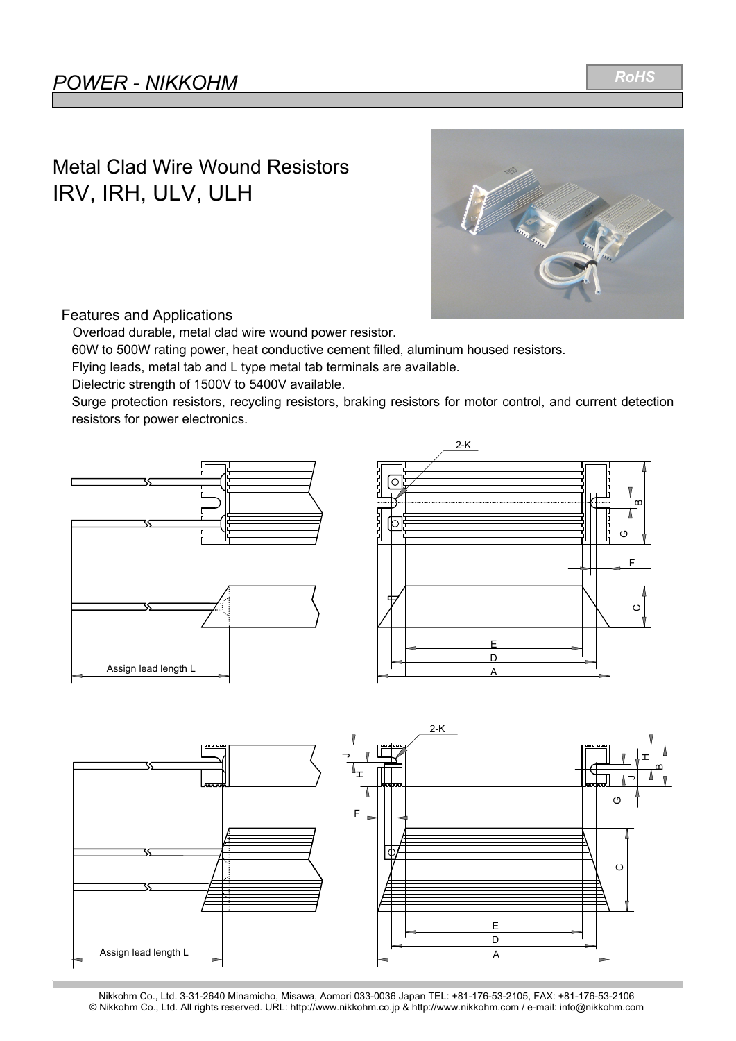### Metal Clad Wire Wound Resistors IRV, IRH, ULV, ULH



#### Features and Applications

Overload durable, metal clad wire wound power resistor.

60W to 500W rating power, heat conductive cement filled, aluminum housed resistors.

Flying leads, metal tab and L type metal tab terminals are available.

Dielectric strength of 1500V to 5400V available.

Surge protection resistors, recycling resistors, braking resistors for motor control, and current detection resistors for power electronics.





*RoHS*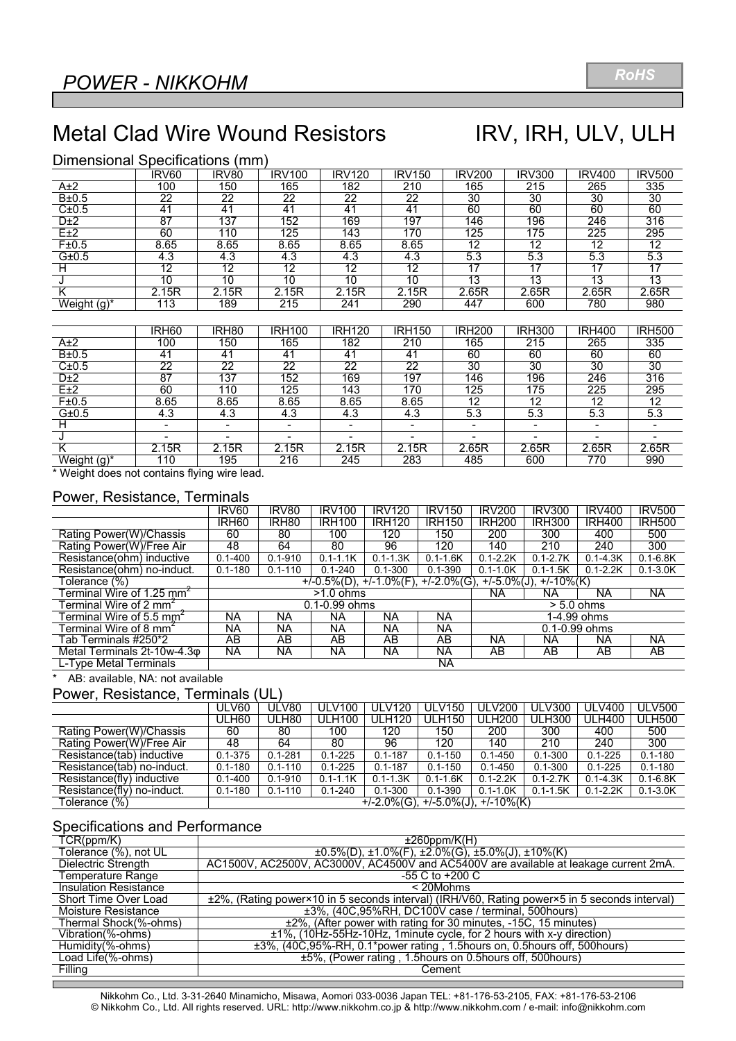## Metal Clad Wire Wound Resistors IRV, IRH, ULV, ULH

#### Dimensional Specifications (mm)

|                | IRV60          | IRV80          | <b>IRV100</b> | <b>IRV120</b> | <b>IRV150</b> | IRV200 | <b>IRV300</b> | <b>IRV400</b> | <b>IRV500</b> |
|----------------|----------------|----------------|---------------|---------------|---------------|--------|---------------|---------------|---------------|
| A±2            | 100            | 150            | 165           | 182           | 210           | 165    | 215           | 265           | 335           |
| B±0.5          | 22             | 22             | 22            | 22            | 22            | 30     | 30            | 30            | 30            |
| C±0.5          | 4 <sup>1</sup> | 4 <sup>1</sup> | 41            | 41            | 41            | 60     | 60            | 60            | 60            |
| D±2            | 87             | 137            | 152           | 169           | 197           | 146    | 196           | 246           | 316           |
| E±2            | 60             | 110            | 125           | 143           | 170           | 125    | 175           | 225           | 295           |
| F±0.5          | 8.65           | 8.65           | 8.65          | 8.65          | 8.65          | 12     | 12            | 12            | 12            |
| G±0.5          | 4.3            | 4.3            | 4.3           | 4.3           | 4.3           | 5.3    | 5.3           | 5.3           | 5.3           |
|                | 12             | 12             | 12            | 12            | 12            | 17     | 17            |               | 17            |
|                | 10             | 10             | 10            | 10            | 10            | 13     | 13            | 13            | 13            |
|                | 2.15R          | 2.15R          | 2.15R<br>⌒    | 2.15R         | 2.15R         | 2.65R  | 2.65R         | 2.65R         | 2.65R         |
| Weight $(g)^*$ | 113            | 189            | 215           | 241           | 290           | 447    | 600           | 780           | 980           |

|             | IRH <sub>60</sub> | IRH <sub>80</sub> | <b>IRH100</b> | <b>IRH120</b> | <b>IRH150</b> | <b>IRH200</b> | <b>IRH300</b> | <b>IRH400</b> | <b>IRH500</b> |
|-------------|-------------------|-------------------|---------------|---------------|---------------|---------------|---------------|---------------|---------------|
| A±2         | 100               | 150               | 165           | 182           | 210           | 165           | 215           | 265           | 335           |
| B±0.5       | 41                | 41                | 41            | 41            | 41            | 60            | 60            | 60            | 60            |
| C±0.5       | 22                | 22                | 22            | 22            | 22            | 30            | 30            | 30            | 30            |
| D±2         | 87                | 137               | 152           | 169           | 197           | 146           | 196           | 246           | 316           |
| E±2         | 60                | 110               | 125           | 143           | 170           | 125           | 175           | 225           | 295           |
| F±0.5       | 8.65              | 8.65              | 8.65          | 8.65          | 8.65          | 12            | 12            | 12            | 12            |
| G±0.5       | 4.3               | 4.3               | 4.3           | 4.3           | 4.3           | 5.3           | 5.3           | 5.3           | 5.3           |
|             |                   |                   |               | -             |               |               |               |               |               |
|             |                   |                   |               |               |               |               |               |               |               |
|             | 2.15R             | 2.15R<br>◠        | !.15R<br>っ    | 2.15R         | 2.15R<br>◠    | 2.65R         | 2.65R         | 2.65R         | 2.65R         |
| Weight (g)* | 110               | 195               | 216           | 245           | 283           | 485           | 600           | 770           | 990           |

\* Weight does not contains flying wire lead.

#### Power, Resistance, Terminals

|                                       | IRV <sub>60</sub>                                                         | IRV80             | <b>IRV100</b> | <b>IRV120</b> | <b>IRV150</b> | <b>IRV200</b>     | <b>IRV300</b> | <b>IRV400</b> | <b>IRV500</b> |
|---------------------------------------|---------------------------------------------------------------------------|-------------------|---------------|---------------|---------------|-------------------|---------------|---------------|---------------|
|                                       | IRH <sub>60</sub>                                                         | IRH <sub>80</sub> | <b>IRH100</b> | <b>IRH120</b> | <b>IRH150</b> | <b>IRH200</b>     | <b>IRH300</b> | <b>IRH400</b> | <b>IRH500</b> |
| Rating Power(W)/Chassis               | 60                                                                        | 80                | 100           | 120           | 150           | 200               | 300           | 400           | 500           |
| Rating Power(W)/Free Air              | 48                                                                        | 64                | 80            | 96            | 120           | 140               | 210           | 240           | 300           |
| Resistance(ohm) inductive             | $0.1 - 400$                                                               | $0.1 - 910$       | $0.1 - 1.1K$  | $0.1 - 1.3K$  | $0.1 - 1.6K$  | $0.1 - 2.2K$      | $0.1 - 2.7K$  | $0.1 - 4.3K$  | $0.1 - 6.8K$  |
| Resistance(ohm) no-induct.            | $0.1 - 180$                                                               | $0.1 - 110$       | $0.1 - 240$   | $0.1 - 300$   | $0.1 - 390$   | $0.1 - 1.0K$      | $0.1 - 1.5K$  | $0.1 - 2.2K$  | $0.1 - 3.0K$  |
| Tolerance (%)                         | $+/-0.5\%(D), +/-1.0\%(F), +/-2.0\%(G),$<br>$+/-5.0\%$ (J), $+/-10\%$ (K) |                   |               |               |               |                   |               |               |               |
| Terminal Wire of 1.25 mm <sup>2</sup> |                                                                           |                   | $>1.0$ ohms   |               | ΝA            | <b>NA</b>         | ΝA            | NA.           |               |
| Terminal Wire of 2 mm $^\epsilon$     | 0.1-0.99 ohms<br>$> 5.0$ ohms                                             |                   |               |               |               |                   |               |               |               |
| Terminal Wire of 5.5 mm <sup>2</sup>  | <b>NA</b>                                                                 | ΝA                | ΝA            | ΝA            | <b>NA</b>     |                   |               | 1-4.99 ohms   |               |
| Terminal Wire of 8 mm <sup>2</sup>    | NA                                                                        | NА                | NА            | ΝA            | ΝA            | $0.1 - 0.99$ ohms |               |               |               |
| Tab Terminals #250*2                  | AB                                                                        | AB                | AB            | AB            | AB            | NA                | ΝA            | ΝA            | NA            |
| Metal Terminals 2t-10w-4.3 $\phi$     | <b>NA</b>                                                                 | <b>NA</b>         | NA            | <b>NA</b>     | <b>NA</b>     | AB                | AB            | AB            | AB            |
| L-Type Metal Terminals                |                                                                           |                   |               |               | <b>NA</b>     |                   |               |               |               |

\* AB: available, NA: not available

#### Power, Resistance, Terminals (UL)

|                            | ULV60       | ULV80       | <b>ULV100</b> | <b>ULV120</b>                          | <b>ULV150</b> | <b>ULV200</b> | <b>ULV300</b> | <b>ULV400</b> | <b>ULV500</b> |
|----------------------------|-------------|-------------|---------------|----------------------------------------|---------------|---------------|---------------|---------------|---------------|
|                            | JLH60       | ULH80       | <b>ULH100</b> | <b>ULH120</b>                          | <b>ULH150</b> | <b>ULH200</b> | <b>ULH300</b> | <b>ULH400</b> | <b>ULH500</b> |
| Rating Power(W)/Chassis    | 60          | 80          | 100           | 120                                    | 150           | 200           | 300           | 400           | 500           |
| Rating Power(W)/Free Air   | 48          | 64          | 80            | 96                                     | 120           | 140           | 210           | 240           | 300           |
| Resistance(tab) inductive  | $0.1 - 375$ | $0.1 - 281$ | $0.1 - 225$   | $0.1 - 187$                            | $0.1 - 150$   | $0.1 - 450$   | $0.1 - 300$   | $0.1 - 225$   | $0.1 - 180$   |
| Resistance(tab) no-induct. | $0.1 - 180$ | $0.1 - 110$ | $0.1 - 225$   | $0.1 - 187$                            | $0.1 - 150$   | $0.1 - 450$   | $0.1 - 300$   | $0.1 - 225$   | $0.1 - 180$   |
| Resistance(fly) inductive  | $0.1 - 400$ | $0.1 - 910$ | $0.1 - 1.1K$  | $0.1 - 1.3K$                           | $0.1 - 1.6K$  | $0.1 - 2.2K$  | $0.1 - 2.7K$  | $0.1 - 4.3K$  | $0.1 - 6.8K$  |
| Resistance(fly) no-induct. | $0.1 - 180$ | $0.1 - 110$ | $0.1 - 240$   | $0.1 - 300$                            | $0.1 - 390$   | $0.1 - 1.0K$  | $0.1 - 1.5K$  | $0.1 - 2.2K$  | $0.1 - 3.0K$  |
| Tolerance (%)              |             |             |               | $+/-2.0\%(G), +/-5.0\%(J), +/-10\%(K)$ |               |               |               |               |               |

#### Specifications and Performance

| TCR(ppm/K)                   | $±260$ ppm/K(H)                                                                              |
|------------------------------|----------------------------------------------------------------------------------------------|
| Tolerance (%), not UL        | $\pm 0.5\%$ (D), $\pm 1.0\%$ (F), $\pm 2.0\%$ (G), $\pm 5.0\%$ (J), $\pm 10\%$ (K)           |
| Dielectric Strength          | AC1500V, AC2500V, AC3000V, AC4500V and AC5400V are available at leakage current 2mA.         |
| Temperature Range            | -55 C to +200 C                                                                              |
| <b>Insulation Resistance</b> | $<$ 20Mohms                                                                                  |
| Short Time Over Load         | ±2%, (Rating power×10 in 5 seconds interval) (IRH/V60, Rating power×5 in 5 seconds interval) |
| Moisture Resistance          | ±3%, (40C,95%RH, DC100V case / terminal, 500hours)                                           |
| Thermal Shock(%-ohms)        | ±2%, (After power with rating for 30 minutes, -15C, 15 minutes)                              |
| Vibration(%-ohms)            | ±1%, (10Hz-55Hz-10Hz, 1minute cycle, for 2 hours with x-y direction)                         |
| Humidity(%-ohms)             | ±3%, (40C, 95%-RH, 0.1*power rating, 1.5hours on, 0.5hours off, 500hours)                    |
| Load Life(%-ohms)            | ±5%, (Power rating, 1.5hours on 0.5hours off, 500hours)                                      |
| Filling                      | Cement                                                                                       |
|                              |                                                                                              |

Nikkohm Co., Ltd. 3-31-2640 Minamicho, Misawa, Aomori 033-0036 Japan TEL: +81-176-53-2105, FAX: +81-176-53-2106 © Nikkohm Co., Ltd. All rights reserved. URL: http://www.nikkohm.co.jp & http://www.nikkohm.com / e-mail: info@nikkohm.com